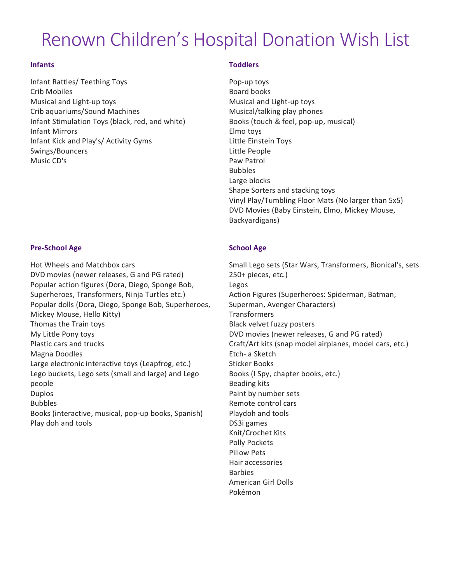# Renown Children's Hospital Donation Wish List

### **Infants**

Infant Rattles/ Teething Toys Crib Mobiles Musical and Light-up toys Crib aquariums/Sound Machines Infant Stimulation Toys (black, red, and white) Infant Mirrors Infant Kick and Play's/ Activity Gyms Swings/Bouncers Music CD's

## **Toddlers**

Pop-up toys Board books Musical and Light-up toys Musical/talking play phones Books (touch & feel, pop-up, musical) Elmo toys Little Einstein Toys Little People Paw Patrol Bubbles Large blocks Shape Sorters and stacking toys Vinyl Play/Tumbling Floor Mats (No larger than 5x5) DVD Movies (Baby Einstein, Elmo, Mickey Mouse, Backyardigans)

## **Pre-School Age**

Hot Wheels and Matchbox cars DVD movies (newer releases, G and PG rated) Popular action figures (Dora, Diego, Sponge Bob, Superheroes, Transformers, Ninja Turtles etc.) Popular dolls (Dora, Diego, Sponge Bob, Superheroes, Mickey Mouse, Hello Kitty) Thomas the Train toys My Little Pony toys Plastic cars and trucks Magna Doodles Large electronic interactive toys (Leapfrog, etc.) Lego buckets, Lego sets (small and large) and Lego people Duplos Bubbles Books (interactive, musical, pop-up books, Spanish) Play doh and tools

## **School Age**

Small Lego sets (Star Wars, Transformers, Bionical's, sets 250+ pieces, etc.) Legos Action Figures (Superheroes: Spiderman, Batman, Superman, Avenger Characters) **Transformers** Black velvet fuzzy posters DVD movies (newer releases, G and PG rated) Craft/Art kits (snap model airplanes, model cars, etc.) Etch- a Sketch Sticker Books Books (I Spy, chapter books, etc.) Beading kits Paint by number sets Remote control cars Playdoh and tools DS3i games Knit/Crochet Kits Polly Pockets Pillow Pets Hair accessories **Barbies** American Girl Dolls Pokémon